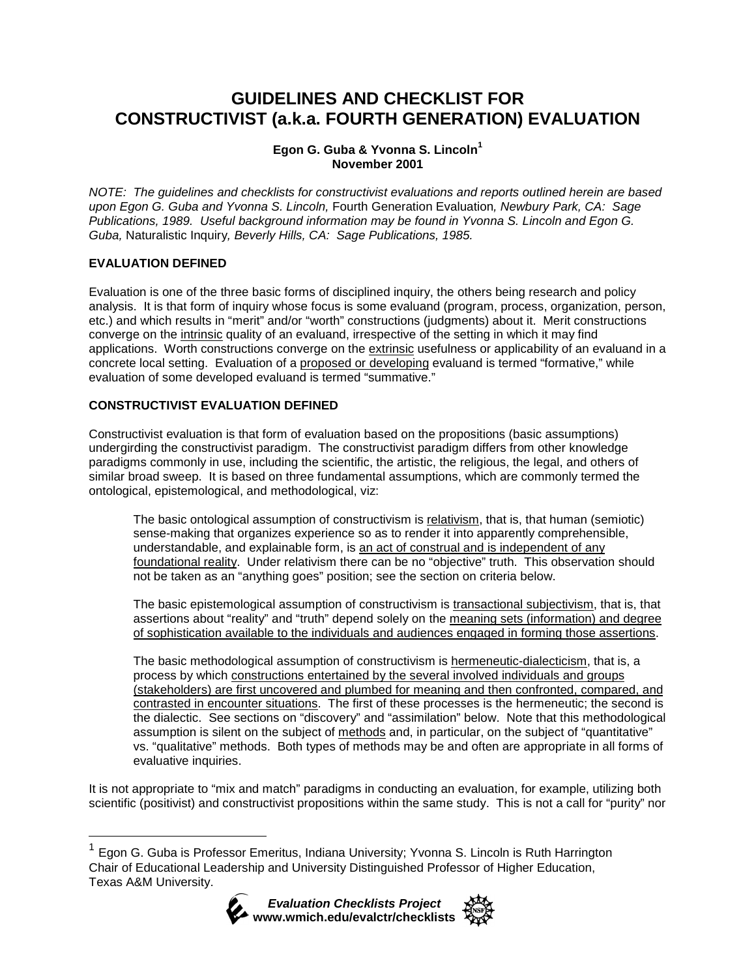# **GUIDELINES AND CHECKLIST FOR CONSTRUCTIVIST (a.k.a. FOURTH GENERATION) EVALUATION**

# **Egon G. Guba & Yvonna S. Lincoln<sup>1</sup> November 2001**

*NOTE: The guidelines and checklists for constructivist evaluations and reports outlined herein are based upon Egon G. Guba and Yvonna S. Lincoln,* Fourth Generation Evaluation*, Newbury Park, CA: Sage Publications, 1989. Useful background information may be found in Yvonna S. Lincoln and Egon G. Guba,* Naturalistic Inquiry*, Beverly Hills, CA: Sage Publications, 1985.* 

# **EVALUATION DEFINED**

Evaluation is one of the three basic forms of disciplined inquiry, the others being research and policy analysis. It is that form of inquiry whose focus is some evaluand (program, process, organization, person, etc.) and which results in "merit" and/or "worth" constructions (judgments) about it. Merit constructions converge on the intrinsic quality of an evaluand, irrespective of the setting in which it may find applications. Worth constructions converge on the extrinsic usefulness or applicability of an evaluand in a concrete local setting. Evaluation of a proposed or developing evaluand is termed "formative," while evaluation of some developed evaluand is termed "summative."

# **CONSTRUCTIVIST EVALUATION DEFINED**

Constructivist evaluation is that form of evaluation based on the propositions (basic assumptions) undergirding the constructivist paradigm. The constructivist paradigm differs from other knowledge paradigms commonly in use, including the scientific, the artistic, the religious, the legal, and others of similar broad sweep. It is based on three fundamental assumptions, which are commonly termed the ontological, epistemological, and methodological, viz:

The basic ontological assumption of constructivism is relativism, that is, that human (semiotic) sense-making that organizes experience so as to render it into apparently comprehensible, understandable, and explainable form, is an act of construal and is independent of any foundational reality. Under relativism there can be no "objective" truth. This observation should not be taken as an "anything goes" position; see the section on criteria below.

The basic epistemological assumption of constructivism is transactional subjectivism, that is, that assertions about "reality" and "truth" depend solely on the meaning sets (information) and degree of sophistication available to the individuals and audiences engaged in forming those assertions.

The basic methodological assumption of constructivism is hermeneutic-dialecticism, that is, a process by which constructions entertained by the several involved individuals and groups (stakeholders) are first uncovered and plumbed for meaning and then confronted, compared, and contrasted in encounter situations. The first of these processes is the hermeneutic; the second is the dialectic. See sections on "discovery" and "assimilation" below. Note that this methodological assumption is silent on the subject of methods and, in particular, on the subject of "quantitative" vs. "qualitative" methods. Both types of methods may be and often are appropriate in all forms of evaluative inquiries.

It is not appropriate to "mix and match" paradigms in conducting an evaluation, for example, utilizing both scientific (positivist) and constructivist propositions within the same study. This is not a call for "purity" nor

<sup>1</sup> Egon G. Guba is Professor Emeritus, Indiana University; Yvonna S. Lincoln is Ruth Harrington Chair of Educational Leadership and University Distinguished Professor of Higher Education, Texas A&M University.



 $\overline{a}$ 

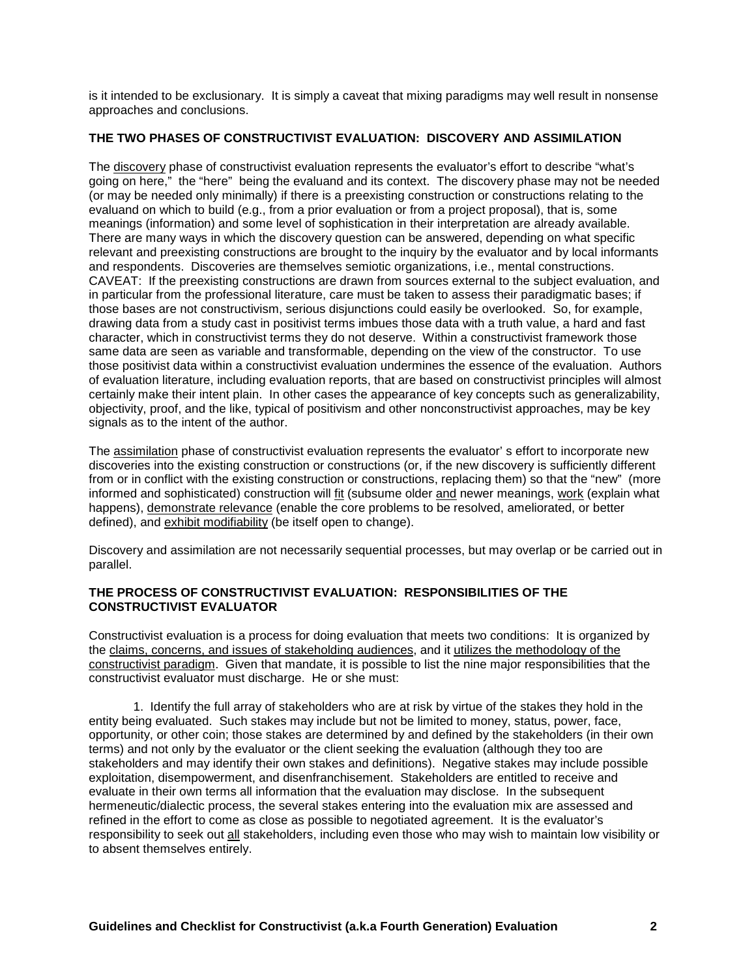is it intended to be exclusionary. It is simply a caveat that mixing paradigms may well result in nonsense approaches and conclusions.

# **THE TWO PHASES OF CONSTRUCTIVIST EVALUATION: DISCOVERY AND ASSIMILATION**

The discovery phase of constructivist evaluation represents the evaluator's effort to describe "what's going on here," the "here" being the evaluand and its context. The discovery phase may not be needed (or may be needed only minimally) if there is a preexisting construction or constructions relating to the evaluand on which to build (e.g., from a prior evaluation or from a project proposal), that is, some meanings (information) and some level of sophistication in their interpretation are already available. There are many ways in which the discovery question can be answered, depending on what specific relevant and preexisting constructions are brought to the inquiry by the evaluator and by local informants and respondents. Discoveries are themselves semiotic organizations, i.e., mental constructions. CAVEAT: If the preexisting constructions are drawn from sources external to the subject evaluation, and in particular from the professional literature, care must be taken to assess their paradigmatic bases; if those bases are not constructivism, serious disjunctions could easily be overlooked. So, for example, drawing data from a study cast in positivist terms imbues those data with a truth value, a hard and fast character, which in constructivist terms they do not deserve. Within a constructivist framework those same data are seen as variable and transformable, depending on the view of the constructor. To use those positivist data within a constructivist evaluation undermines the essence of the evaluation. Authors of evaluation literature, including evaluation reports, that are based on constructivist principles will almost certainly make their intent plain. In other cases the appearance of key concepts such as generalizability, objectivity, proof, and the like, typical of positivism and other nonconstructivist approaches, may be key signals as to the intent of the author.

The assimilation phase of constructivist evaluation represents the evaluator' s effort to incorporate new discoveries into the existing construction or constructions (or, if the new discovery is sufficiently different from or in conflict with the existing construction or constructions, replacing them) so that the "new" (more informed and sophisticated) construction will fit (subsume older and newer meanings, work (explain what happens), demonstrate relevance (enable the core problems to be resolved, ameliorated, or better defined), and exhibit modifiability (be itself open to change).

Discovery and assimilation are not necessarily sequential processes, but may overlap or be carried out in parallel.

#### **THE PROCESS OF CONSTRUCTIVIST EVALUATION: RESPONSIBILITIES OF THE CONSTRUCTIVIST EVALUATOR**

Constructivist evaluation is a process for doing evaluation that meets two conditions: It is organized by the claims, concerns, and issues of stakeholding audiences, and it utilizes the methodology of the constructivist paradigm. Given that mandate, it is possible to list the nine major responsibilities that the constructivist evaluator must discharge. He or she must:

 1. Identify the full array of stakeholders who are at risk by virtue of the stakes they hold in the entity being evaluated. Such stakes may include but not be limited to money, status, power, face, opportunity, or other coin; those stakes are determined by and defined by the stakeholders (in their own terms) and not only by the evaluator or the client seeking the evaluation (although they too are stakeholders and may identify their own stakes and definitions). Negative stakes may include possible exploitation, disempowerment, and disenfranchisement. Stakeholders are entitled to receive and evaluate in their own terms all information that the evaluation may disclose. In the subsequent hermeneutic/dialectic process, the several stakes entering into the evaluation mix are assessed and refined in the effort to come as close as possible to negotiated agreement. It is the evaluator's responsibility to seek out all stakeholders, including even those who may wish to maintain low visibility or to absent themselves entirely.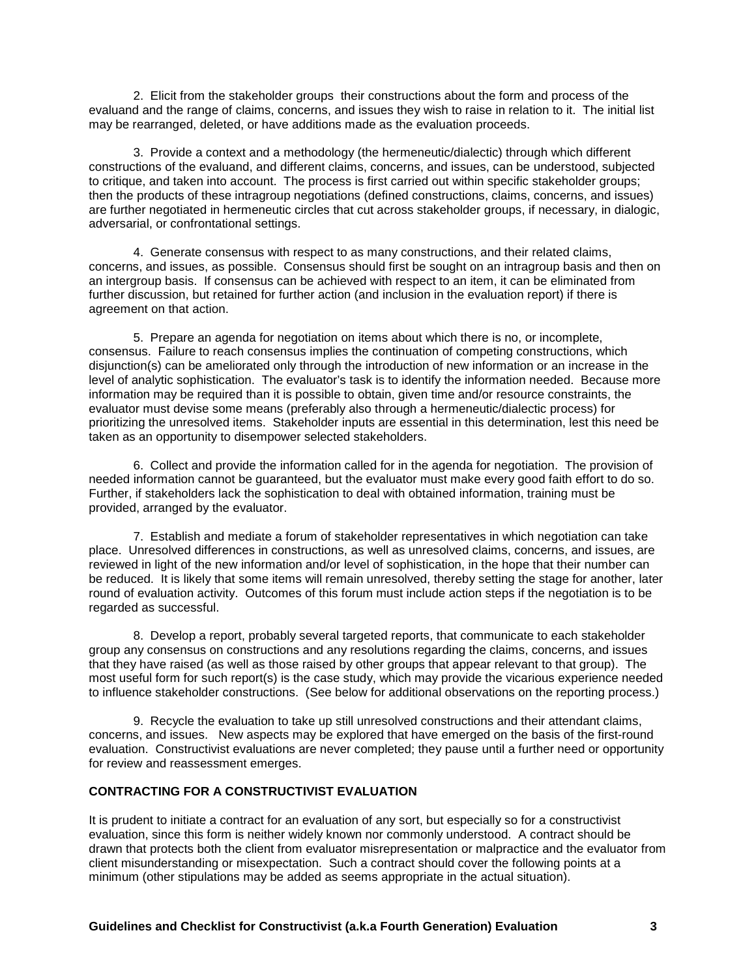2. Elicit from the stakeholder groups their constructions about the form and process of the evaluand and the range of claims, concerns, and issues they wish to raise in relation to it. The initial list may be rearranged, deleted, or have additions made as the evaluation proceeds.

 3. Provide a context and a methodology (the hermeneutic/dialectic) through which different constructions of the evaluand, and different claims, concerns, and issues, can be understood, subjected to critique, and taken into account. The process is first carried out within specific stakeholder groups; then the products of these intragroup negotiations (defined constructions, claims, concerns, and issues) are further negotiated in hermeneutic circles that cut across stakeholder groups, if necessary, in dialogic, adversarial, or confrontational settings.

 4. Generate consensus with respect to as many constructions, and their related claims, concerns, and issues, as possible. Consensus should first be sought on an intragroup basis and then on an intergroup basis. If consensus can be achieved with respect to an item, it can be eliminated from further discussion, but retained for further action (and inclusion in the evaluation report) if there is agreement on that action.

 5. Prepare an agenda for negotiation on items about which there is no, or incomplete, consensus. Failure to reach consensus implies the continuation of competing constructions, which disjunction(s) can be ameliorated only through the introduction of new information or an increase in the level of analytic sophistication. The evaluator's task is to identify the information needed. Because more information may be required than it is possible to obtain, given time and/or resource constraints, the evaluator must devise some means (preferably also through a hermeneutic/dialectic process) for prioritizing the unresolved items. Stakeholder inputs are essential in this determination, lest this need be taken as an opportunity to disempower selected stakeholders.

 6. Collect and provide the information called for in the agenda for negotiation. The provision of needed information cannot be guaranteed, but the evaluator must make every good faith effort to do so. Further, if stakeholders lack the sophistication to deal with obtained information, training must be provided, arranged by the evaluator.

 7. Establish and mediate a forum of stakeholder representatives in which negotiation can take place. Unresolved differences in constructions, as well as unresolved claims, concerns, and issues, are reviewed in light of the new information and/or level of sophistication, in the hope that their number can be reduced. It is likely that some items will remain unresolved, thereby setting the stage for another, later round of evaluation activity. Outcomes of this forum must include action steps if the negotiation is to be regarded as successful.

 8. Develop a report, probably several targeted reports, that communicate to each stakeholder group any consensus on constructions and any resolutions regarding the claims, concerns, and issues that they have raised (as well as those raised by other groups that appear relevant to that group). The most useful form for such report(s) is the case study, which may provide the vicarious experience needed to influence stakeholder constructions. (See below for additional observations on the reporting process.)

 9. Recycle the evaluation to take up still unresolved constructions and their attendant claims, concerns, and issues. New aspects may be explored that have emerged on the basis of the first-round evaluation. Constructivist evaluations are never completed; they pause until a further need or opportunity for review and reassessment emerges.

#### **CONTRACTING FOR A CONSTRUCTIVIST EVALUATION**

It is prudent to initiate a contract for an evaluation of any sort, but especially so for a constructivist evaluation, since this form is neither widely known nor commonly understood. A contract should be drawn that protects both the client from evaluator misrepresentation or malpractice and the evaluator from client misunderstanding or misexpectation. Such a contract should cover the following points at a minimum (other stipulations may be added as seems appropriate in the actual situation).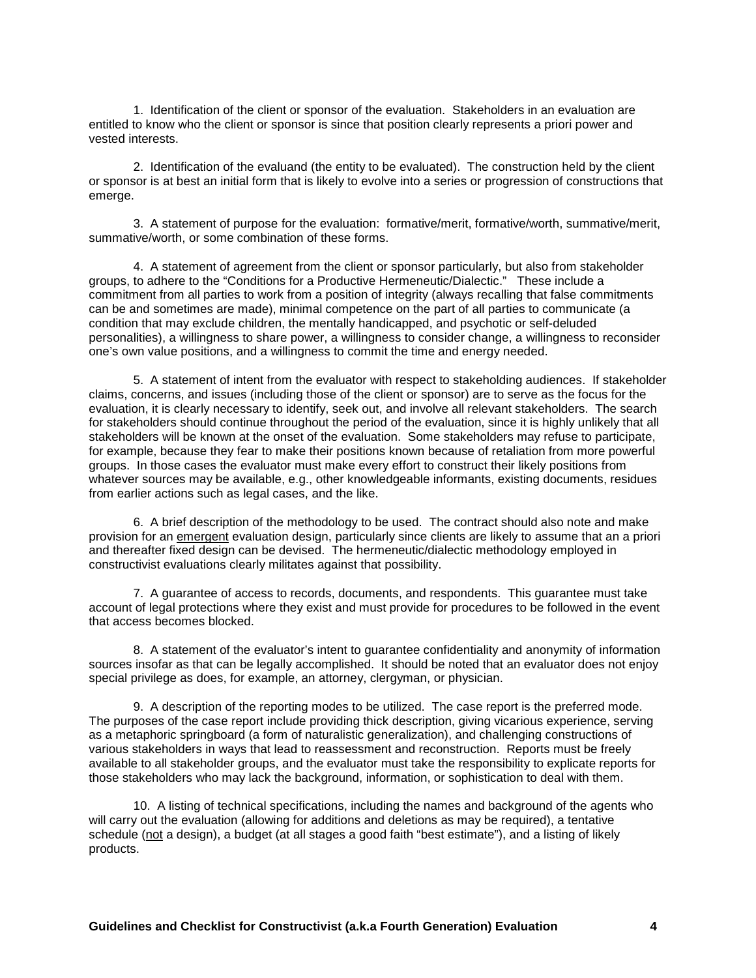1. Identification of the client or sponsor of the evaluation. Stakeholders in an evaluation are entitled to know who the client or sponsor is since that position clearly represents a priori power and vested interests.

 2. Identification of the evaluand (the entity to be evaluated). The construction held by the client or sponsor is at best an initial form that is likely to evolve into a series or progression of constructions that emerge.

 3. A statement of purpose for the evaluation: formative/merit, formative/worth, summative/merit, summative/worth, or some combination of these forms.

 4. A statement of agreement from the client or sponsor particularly, but also from stakeholder groups, to adhere to the "Conditions for a Productive Hermeneutic/Dialectic." These include a commitment from all parties to work from a position of integrity (always recalling that false commitments can be and sometimes are made), minimal competence on the part of all parties to communicate (a condition that may exclude children, the mentally handicapped, and psychotic or self-deluded personalities), a willingness to share power, a willingness to consider change, a willingness to reconsider one's own value positions, and a willingness to commit the time and energy needed.

 5. A statement of intent from the evaluator with respect to stakeholding audiences. If stakeholder claims, concerns, and issues (including those of the client or sponsor) are to serve as the focus for the evaluation, it is clearly necessary to identify, seek out, and involve all relevant stakeholders. The search for stakeholders should continue throughout the period of the evaluation, since it is highly unlikely that all stakeholders will be known at the onset of the evaluation. Some stakeholders may refuse to participate, for example, because they fear to make their positions known because of retaliation from more powerful groups. In those cases the evaluator must make every effort to construct their likely positions from whatever sources may be available, e.g., other knowledgeable informants, existing documents, residues from earlier actions such as legal cases, and the like.

 6. A brief description of the methodology to be used. The contract should also note and make provision for an emergent evaluation design, particularly since clients are likely to assume that an a priori and thereafter fixed design can be devised. The hermeneutic/dialectic methodology employed in constructivist evaluations clearly militates against that possibility.

 7. A guarantee of access to records, documents, and respondents. This guarantee must take account of legal protections where they exist and must provide for procedures to be followed in the event that access becomes blocked.

 8. A statement of the evaluator's intent to guarantee confidentiality and anonymity of information sources insofar as that can be legally accomplished. It should be noted that an evaluator does not enjoy special privilege as does, for example, an attorney, clergyman, or physician.

 9. A description of the reporting modes to be utilized. The case report is the preferred mode. The purposes of the case report include providing thick description, giving vicarious experience, serving as a metaphoric springboard (a form of naturalistic generalization), and challenging constructions of various stakeholders in ways that lead to reassessment and reconstruction. Reports must be freely available to all stakeholder groups, and the evaluator must take the responsibility to explicate reports for those stakeholders who may lack the background, information, or sophistication to deal with them.

 10. A listing of technical specifications, including the names and background of the agents who will carry out the evaluation (allowing for additions and deletions as may be required), a tentative schedule (not a design), a budget (at all stages a good faith "best estimate"), and a listing of likely products.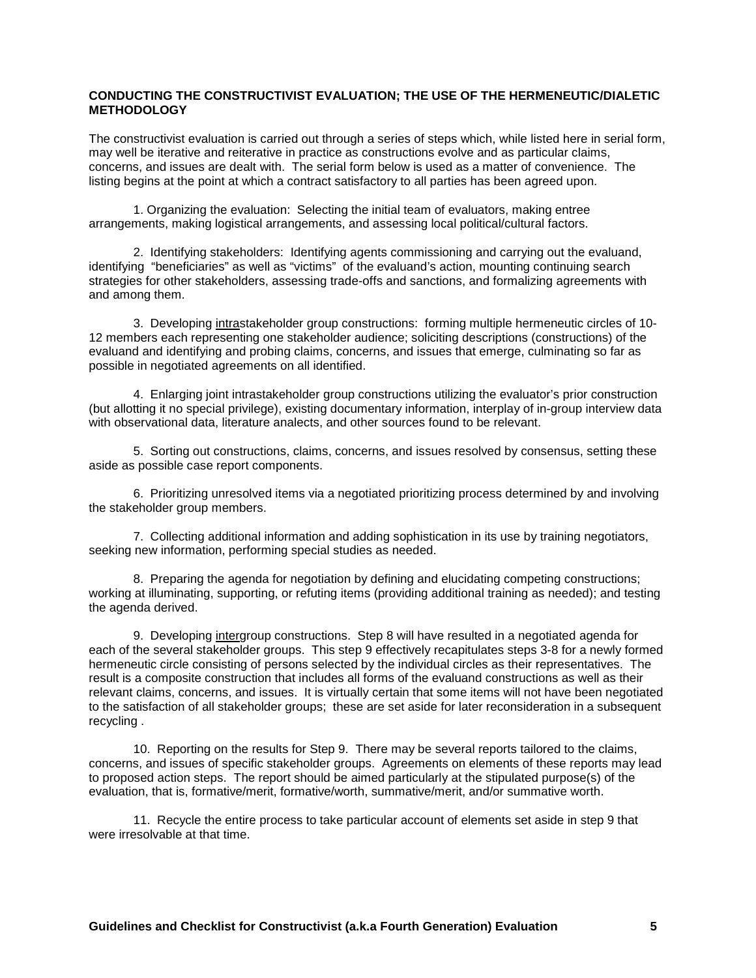#### **CONDUCTING THE CONSTRUCTIVIST EVALUATION; THE USE OF THE HERMENEUTIC/DIALETIC METHODOLOGY**

The constructivist evaluation is carried out through a series of steps which, while listed here in serial form, may well be iterative and reiterative in practice as constructions evolve and as particular claims, concerns, and issues are dealt with. The serial form below is used as a matter of convenience. The listing begins at the point at which a contract satisfactory to all parties has been agreed upon.

 1. Organizing the evaluation: Selecting the initial team of evaluators, making entree arrangements, making logistical arrangements, and assessing local political/cultural factors.

 2. Identifying stakeholders: Identifying agents commissioning and carrying out the evaluand, identifying "beneficiaries" as well as "victims" of the evaluand's action, mounting continuing search strategies for other stakeholders, assessing trade-offs and sanctions, and formalizing agreements with and among them.

 3. Developing intrastakeholder group constructions: forming multiple hermeneutic circles of 10- 12 members each representing one stakeholder audience; soliciting descriptions (constructions) of the evaluand and identifying and probing claims, concerns, and issues that emerge, culminating so far as possible in negotiated agreements on all identified.

 4. Enlarging joint intrastakeholder group constructions utilizing the evaluator's prior construction (but allotting it no special privilege), existing documentary information, interplay of in-group interview data with observational data, literature analects, and other sources found to be relevant.

 5. Sorting out constructions, claims, concerns, and issues resolved by consensus, setting these aside as possible case report components.

 6. Prioritizing unresolved items via a negotiated prioritizing process determined by and involving the stakeholder group members.

 7. Collecting additional information and adding sophistication in its use by training negotiators, seeking new information, performing special studies as needed.

 8. Preparing the agenda for negotiation by defining and elucidating competing constructions; working at illuminating, supporting, or refuting items (providing additional training as needed); and testing the agenda derived.

 9. Developing intergroup constructions. Step 8 will have resulted in a negotiated agenda for each of the several stakeholder groups. This step 9 effectively recapitulates steps 3-8 for a newly formed hermeneutic circle consisting of persons selected by the individual circles as their representatives. The result is a composite construction that includes all forms of the evaluand constructions as well as their relevant claims, concerns, and issues. It is virtually certain that some items will not have been negotiated to the satisfaction of all stakeholder groups; these are set aside for later reconsideration in a subsequent recycling .

 10. Reporting on the results for Step 9. There may be several reports tailored to the claims, concerns, and issues of specific stakeholder groups. Agreements on elements of these reports may lead to proposed action steps. The report should be aimed particularly at the stipulated purpose(s) of the evaluation, that is, formative/merit, formative/worth, summative/merit, and/or summative worth.

 11. Recycle the entire process to take particular account of elements set aside in step 9 that were irresolvable at that time.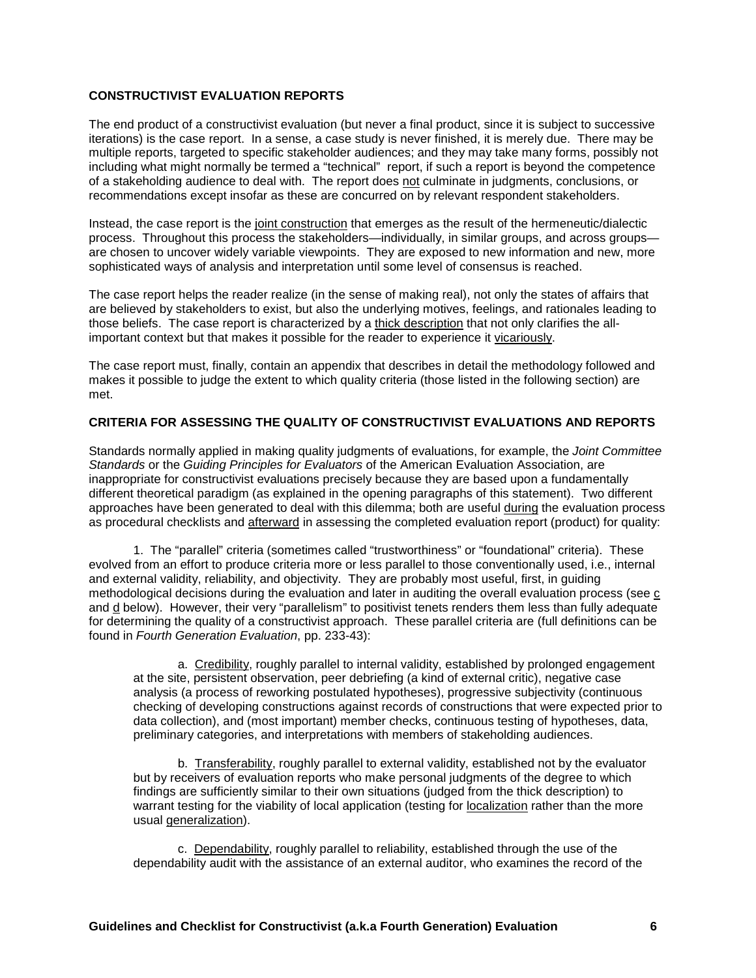# **CONSTRUCTIVIST EVALUATION REPORTS**

The end product of a constructivist evaluation (but never a final product, since it is subject to successive iterations) is the case report. In a sense, a case study is never finished, it is merely due. There may be multiple reports, targeted to specific stakeholder audiences; and they may take many forms, possibly not including what might normally be termed a "technical" report, if such a report is beyond the competence of a stakeholding audience to deal with. The report does not culminate in judgments, conclusions, or recommendations except insofar as these are concurred on by relevant respondent stakeholders.

Instead, the case report is the joint construction that emerges as the result of the hermeneutic/dialectic process. Throughout this process the stakeholders—individually, in similar groups, and across groups are chosen to uncover widely variable viewpoints. They are exposed to new information and new, more sophisticated ways of analysis and interpretation until some level of consensus is reached.

The case report helps the reader realize (in the sense of making real), not only the states of affairs that are believed by stakeholders to exist, but also the underlying motives, feelings, and rationales leading to those beliefs. The case report is characterized by a thick description that not only clarifies the allimportant context but that makes it possible for the reader to experience it vicariously.

The case report must, finally, contain an appendix that describes in detail the methodology followed and makes it possible to judge the extent to which quality criteria (those listed in the following section) are met.

# **CRITERIA FOR ASSESSING THE QUALITY OF CONSTRUCTIVIST EVALUATIONS AND REPORTS**

Standards normally applied in making quality judgments of evaluations, for example, the *Joint Committee Standards* or the *Guiding Principles for Evaluators* of the American Evaluation Association, are inappropriate for constructivist evaluations precisely because they are based upon a fundamentally different theoretical paradigm (as explained in the opening paragraphs of this statement). Two different approaches have been generated to deal with this dilemma; both are useful during the evaluation process as procedural checklists and afterward in assessing the completed evaluation report (product) for quality:

 1. The "parallel" criteria (sometimes called "trustworthiness" or "foundational" criteria). These evolved from an effort to produce criteria more or less parallel to those conventionally used, i.e., internal and external validity, reliability, and objectivity. They are probably most useful, first, in guiding methodological decisions during the evaluation and later in auditing the overall evaluation process (see c and d below). However, their very "parallelism" to positivist tenets renders them less than fully adequate for determining the quality of a constructivist approach. These parallel criteria are (full definitions can be found in *Fourth Generation Evaluation*, pp. 233-43):

 a. Credibility, roughly parallel to internal validity, established by prolonged engagement at the site, persistent observation, peer debriefing (a kind of external critic), negative case analysis (a process of reworking postulated hypotheses), progressive subjectivity (continuous checking of developing constructions against records of constructions that were expected prior to data collection), and (most important) member checks, continuous testing of hypotheses, data, preliminary categories, and interpretations with members of stakeholding audiences.

 b. Transferability, roughly parallel to external validity, established not by the evaluator but by receivers of evaluation reports who make personal judgments of the degree to which findings are sufficiently similar to their own situations (judged from the thick description) to warrant testing for the viability of local application (testing for localization rather than the more usual generalization).

 c. Dependability, roughly parallel to reliability, established through the use of the dependability audit with the assistance of an external auditor, who examines the record of the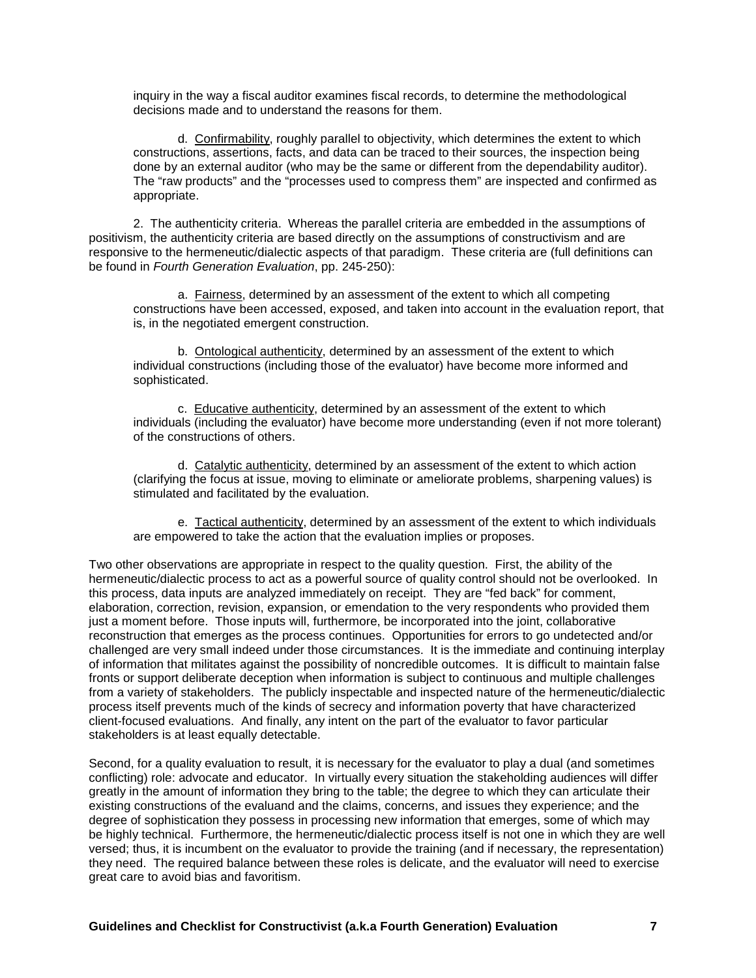inquiry in the way a fiscal auditor examines fiscal records, to determine the methodological decisions made and to understand the reasons for them.

 d. Confirmability, roughly parallel to objectivity, which determines the extent to which constructions, assertions, facts, and data can be traced to their sources, the inspection being done by an external auditor (who may be the same or different from the dependability auditor). The "raw products" and the "processes used to compress them" are inspected and confirmed as appropriate.

 2. The authenticity criteria. Whereas the parallel criteria are embedded in the assumptions of positivism, the authenticity criteria are based directly on the assumptions of constructivism and are responsive to the hermeneutic/dialectic aspects of that paradigm. These criteria are (full definitions can be found in *Fourth Generation Evaluation*, pp. 245-250):

 a. Fairness, determined by an assessment of the extent to which all competing constructions have been accessed, exposed, and taken into account in the evaluation report, that is, in the negotiated emergent construction.

 b. Ontological authenticity, determined by an assessment of the extent to which individual constructions (including those of the evaluator) have become more informed and sophisticated.

 c. Educative authenticity, determined by an assessment of the extent to which individuals (including the evaluator) have become more understanding (even if not more tolerant) of the constructions of others.

 d. Catalytic authenticity, determined by an assessment of the extent to which action (clarifying the focus at issue, moving to eliminate or ameliorate problems, sharpening values) is stimulated and facilitated by the evaluation.

 e. Tactical authenticity, determined by an assessment of the extent to which individuals are empowered to take the action that the evaluation implies or proposes.

Two other observations are appropriate in respect to the quality question. First, the ability of the hermeneutic/dialectic process to act as a powerful source of quality control should not be overlooked. In this process, data inputs are analyzed immediately on receipt. They are "fed back" for comment, elaboration, correction, revision, expansion, or emendation to the very respondents who provided them just a moment before. Those inputs will, furthermore, be incorporated into the joint, collaborative reconstruction that emerges as the process continues. Opportunities for errors to go undetected and/or challenged are very small indeed under those circumstances. It is the immediate and continuing interplay of information that militates against the possibility of noncredible outcomes. It is difficult to maintain false fronts or support deliberate deception when information is subject to continuous and multiple challenges from a variety of stakeholders. The publicly inspectable and inspected nature of the hermeneutic/dialectic process itself prevents much of the kinds of secrecy and information poverty that have characterized client-focused evaluations. And finally, any intent on the part of the evaluator to favor particular stakeholders is at least equally detectable.

Second, for a quality evaluation to result, it is necessary for the evaluator to play a dual (and sometimes conflicting) role: advocate and educator. In virtually every situation the stakeholding audiences will differ greatly in the amount of information they bring to the table; the degree to which they can articulate their existing constructions of the evaluand and the claims, concerns, and issues they experience; and the degree of sophistication they possess in processing new information that emerges, some of which may be highly technical. Furthermore, the hermeneutic/dialectic process itself is not one in which they are well versed; thus, it is incumbent on the evaluator to provide the training (and if necessary, the representation) they need. The required balance between these roles is delicate, and the evaluator will need to exercise great care to avoid bias and favoritism.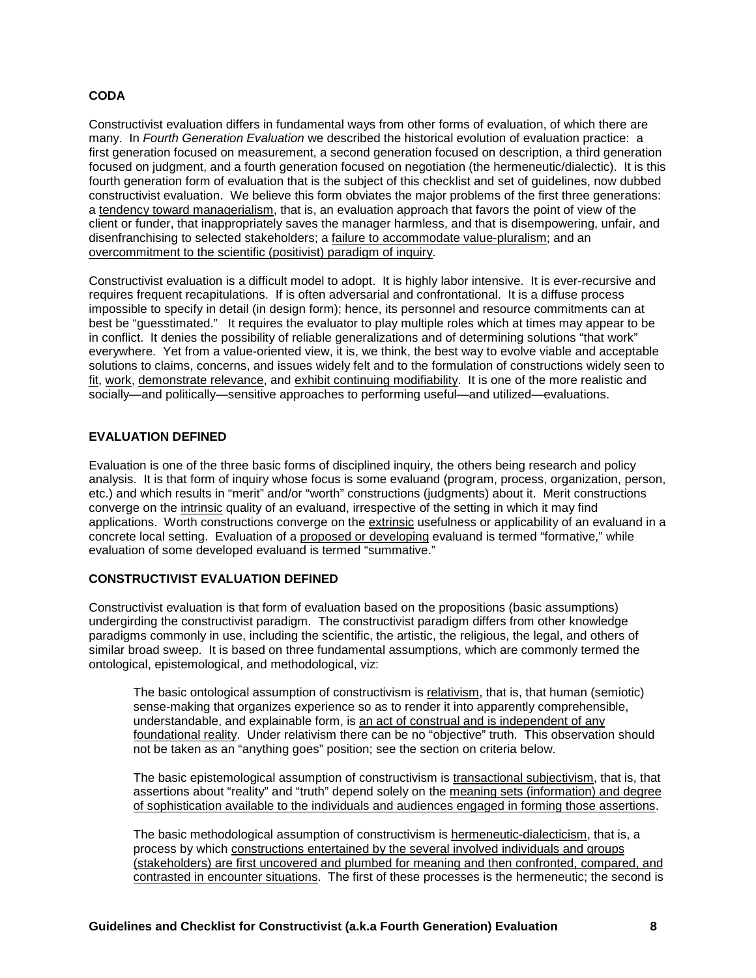# **CODA**

Constructivist evaluation differs in fundamental ways from other forms of evaluation, of which there are many. In *Fourth Generation Evaluation* we described the historical evolution of evaluation practice: a first generation focused on measurement, a second generation focused on description, a third generation focused on judgment, and a fourth generation focused on negotiation (the hermeneutic/dialectic). It is this fourth generation form of evaluation that is the subject of this checklist and set of guidelines, now dubbed constructivist evaluation. We believe this form obviates the major problems of the first three generations: a tendency toward managerialism, that is, an evaluation approach that favors the point of view of the client or funder, that inappropriately saves the manager harmless, and that is disempowering, unfair, and disenfranchising to selected stakeholders; a failure to accommodate value-pluralism; and an overcommitment to the scientific (positivist) paradigm of inquiry.

Constructivist evaluation is a difficult model to adopt. It is highly labor intensive. It is ever-recursive and requires frequent recapitulations. If is often adversarial and confrontational. It is a diffuse process impossible to specify in detail (in design form); hence, its personnel and resource commitments can at best be "guesstimated." It requires the evaluator to play multiple roles which at times may appear to be in conflict. It denies the possibility of reliable generalizations and of determining solutions "that work" everywhere. Yet from a value-oriented view, it is, we think, the best way to evolve viable and acceptable solutions to claims, concerns, and issues widely felt and to the formulation of constructions widely seen to fit, work, demonstrate relevance, and exhibit continuing modifiability. It is one of the more realistic and socially—and politically—sensitive approaches to performing useful—and utilized—evaluations.

# **EVALUATION DEFINED**

Evaluation is one of the three basic forms of disciplined inquiry, the others being research and policy analysis. It is that form of inquiry whose focus is some evaluand (program, process, organization, person, etc.) and which results in "merit" and/or "worth" constructions (judgments) about it. Merit constructions converge on the intrinsic quality of an evaluand, irrespective of the setting in which it may find applications. Worth constructions converge on the extrinsic usefulness or applicability of an evaluand in a concrete local setting. Evaluation of a proposed or developing evaluand is termed "formative," while evaluation of some developed evaluand is termed "summative."

#### **CONSTRUCTIVIST EVALUATION DEFINED**

Constructivist evaluation is that form of evaluation based on the propositions (basic assumptions) undergirding the constructivist paradigm. The constructivist paradigm differs from other knowledge paradigms commonly in use, including the scientific, the artistic, the religious, the legal, and others of similar broad sweep. It is based on three fundamental assumptions, which are commonly termed the ontological, epistemological, and methodological, viz:

The basic ontological assumption of constructivism is relativism, that is, that human (semiotic) sense-making that organizes experience so as to render it into apparently comprehensible, understandable, and explainable form, is an act of construal and is independent of any foundational reality. Under relativism there can be no "objective" truth. This observation should not be taken as an "anything goes" position; see the section on criteria below.

The basic epistemological assumption of constructivism is transactional subjectivism, that is, that assertions about "reality" and "truth" depend solely on the meaning sets (information) and degree of sophistication available to the individuals and audiences engaged in forming those assertions.

The basic methodological assumption of constructivism is hermeneutic-dialecticism, that is, a process by which constructions entertained by the several involved individuals and groups (stakeholders) are first uncovered and plumbed for meaning and then confronted, compared, and contrasted in encounter situations. The first of these processes is the hermeneutic; the second is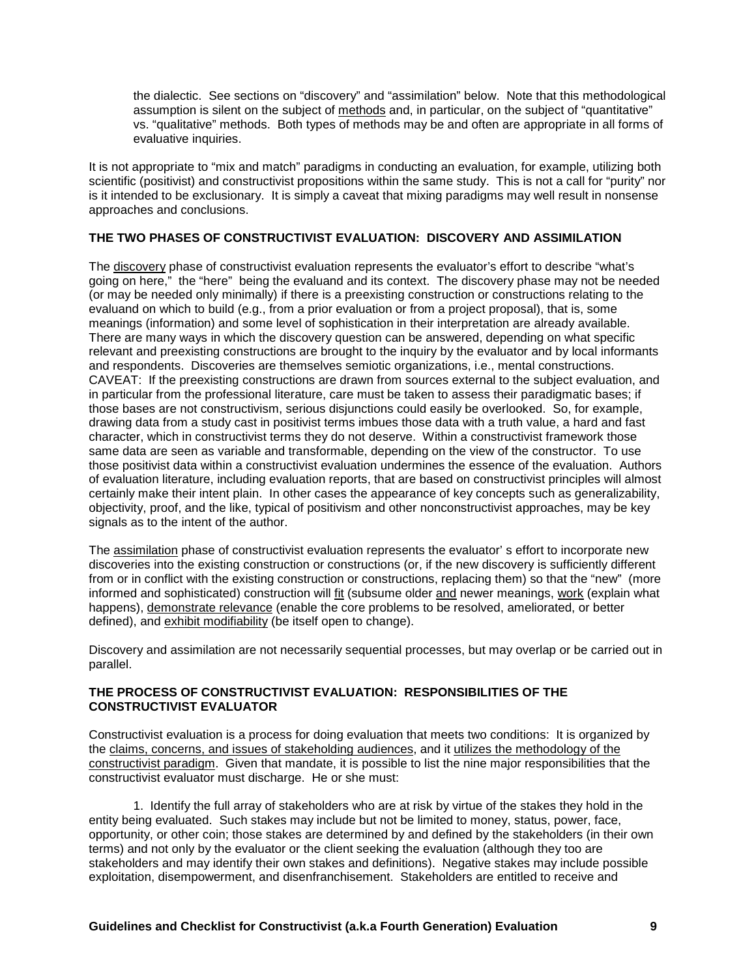the dialectic. See sections on "discovery" and "assimilation" below. Note that this methodological assumption is silent on the subject of methods and, in particular, on the subject of "quantitative" vs. "qualitative" methods. Both types of methods may be and often are appropriate in all forms of evaluative inquiries.

It is not appropriate to "mix and match" paradigms in conducting an evaluation, for example, utilizing both scientific (positivist) and constructivist propositions within the same study. This is not a call for "purity" nor is it intended to be exclusionary. It is simply a caveat that mixing paradigms may well result in nonsense approaches and conclusions.

# **THE TWO PHASES OF CONSTRUCTIVIST EVALUATION: DISCOVERY AND ASSIMILATION**

The discovery phase of constructivist evaluation represents the evaluator's effort to describe "what's going on here," the "here" being the evaluand and its context. The discovery phase may not be needed (or may be needed only minimally) if there is a preexisting construction or constructions relating to the evaluand on which to build (e.g., from a prior evaluation or from a project proposal), that is, some meanings (information) and some level of sophistication in their interpretation are already available. There are many ways in which the discovery question can be answered, depending on what specific relevant and preexisting constructions are brought to the inquiry by the evaluator and by local informants and respondents. Discoveries are themselves semiotic organizations, i.e., mental constructions. CAVEAT: If the preexisting constructions are drawn from sources external to the subject evaluation, and in particular from the professional literature, care must be taken to assess their paradigmatic bases; if those bases are not constructivism, serious disjunctions could easily be overlooked. So, for example, drawing data from a study cast in positivist terms imbues those data with a truth value, a hard and fast character, which in constructivist terms they do not deserve. Within a constructivist framework those same data are seen as variable and transformable, depending on the view of the constructor. To use those positivist data within a constructivist evaluation undermines the essence of the evaluation. Authors of evaluation literature, including evaluation reports, that are based on constructivist principles will almost certainly make their intent plain. In other cases the appearance of key concepts such as generalizability, objectivity, proof, and the like, typical of positivism and other nonconstructivist approaches, may be key signals as to the intent of the author.

The assimilation phase of constructivist evaluation represents the evaluator' s effort to incorporate new discoveries into the existing construction or constructions (or, if the new discovery is sufficiently different from or in conflict with the existing construction or constructions, replacing them) so that the "new" (more informed and sophisticated) construction will fit (subsume older and newer meanings, work (explain what happens), demonstrate relevance (enable the core problems to be resolved, ameliorated, or better defined), and exhibit modifiability (be itself open to change).

Discovery and assimilation are not necessarily sequential processes, but may overlap or be carried out in parallel.

# **THE PROCESS OF CONSTRUCTIVIST EVALUATION: RESPONSIBILITIES OF THE CONSTRUCTIVIST EVALUATOR**

Constructivist evaluation is a process for doing evaluation that meets two conditions: It is organized by the claims, concerns, and issues of stakeholding audiences, and it utilizes the methodology of the constructivist paradigm. Given that mandate, it is possible to list the nine major responsibilities that the constructivist evaluator must discharge. He or she must:

 1. Identify the full array of stakeholders who are at risk by virtue of the stakes they hold in the entity being evaluated. Such stakes may include but not be limited to money, status, power, face, opportunity, or other coin; those stakes are determined by and defined by the stakeholders (in their own terms) and not only by the evaluator or the client seeking the evaluation (although they too are stakeholders and may identify their own stakes and definitions). Negative stakes may include possible exploitation, disempowerment, and disenfranchisement. Stakeholders are entitled to receive and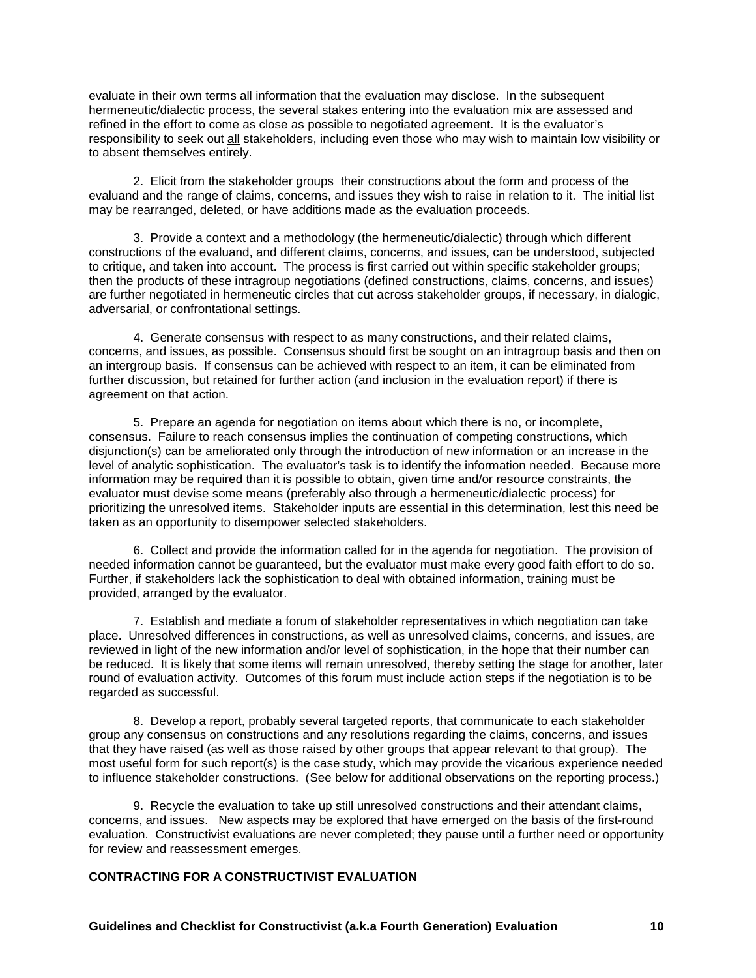evaluate in their own terms all information that the evaluation may disclose. In the subsequent hermeneutic/dialectic process, the several stakes entering into the evaluation mix are assessed and refined in the effort to come as close as possible to negotiated agreement. It is the evaluator's responsibility to seek out all stakeholders, including even those who may wish to maintain low visibility or to absent themselves entirely.

 2. Elicit from the stakeholder groups their constructions about the form and process of the evaluand and the range of claims, concerns, and issues they wish to raise in relation to it. The initial list may be rearranged, deleted, or have additions made as the evaluation proceeds.

 3. Provide a context and a methodology (the hermeneutic/dialectic) through which different constructions of the evaluand, and different claims, concerns, and issues, can be understood, subjected to critique, and taken into account. The process is first carried out within specific stakeholder groups; then the products of these intragroup negotiations (defined constructions, claims, concerns, and issues) are further negotiated in hermeneutic circles that cut across stakeholder groups, if necessary, in dialogic, adversarial, or confrontational settings.

 4. Generate consensus with respect to as many constructions, and their related claims, concerns, and issues, as possible. Consensus should first be sought on an intragroup basis and then on an intergroup basis. If consensus can be achieved with respect to an item, it can be eliminated from further discussion, but retained for further action (and inclusion in the evaluation report) if there is agreement on that action.

 5. Prepare an agenda for negotiation on items about which there is no, or incomplete, consensus. Failure to reach consensus implies the continuation of competing constructions, which disjunction(s) can be ameliorated only through the introduction of new information or an increase in the level of analytic sophistication. The evaluator's task is to identify the information needed. Because more information may be required than it is possible to obtain, given time and/or resource constraints, the evaluator must devise some means (preferably also through a hermeneutic/dialectic process) for prioritizing the unresolved items. Stakeholder inputs are essential in this determination, lest this need be taken as an opportunity to disempower selected stakeholders.

 6. Collect and provide the information called for in the agenda for negotiation. The provision of needed information cannot be guaranteed, but the evaluator must make every good faith effort to do so. Further, if stakeholders lack the sophistication to deal with obtained information, training must be provided, arranged by the evaluator.

 7. Establish and mediate a forum of stakeholder representatives in which negotiation can take place. Unresolved differences in constructions, as well as unresolved claims, concerns, and issues, are reviewed in light of the new information and/or level of sophistication, in the hope that their number can be reduced. It is likely that some items will remain unresolved, thereby setting the stage for another, later round of evaluation activity. Outcomes of this forum must include action steps if the negotiation is to be regarded as successful.

 8. Develop a report, probably several targeted reports, that communicate to each stakeholder group any consensus on constructions and any resolutions regarding the claims, concerns, and issues that they have raised (as well as those raised by other groups that appear relevant to that group). The most useful form for such report(s) is the case study, which may provide the vicarious experience needed to influence stakeholder constructions. (See below for additional observations on the reporting process.)

 9. Recycle the evaluation to take up still unresolved constructions and their attendant claims, concerns, and issues. New aspects may be explored that have emerged on the basis of the first-round evaluation. Constructivist evaluations are never completed; they pause until a further need or opportunity for review and reassessment emerges.

# **CONTRACTING FOR A CONSTRUCTIVIST EVALUATION**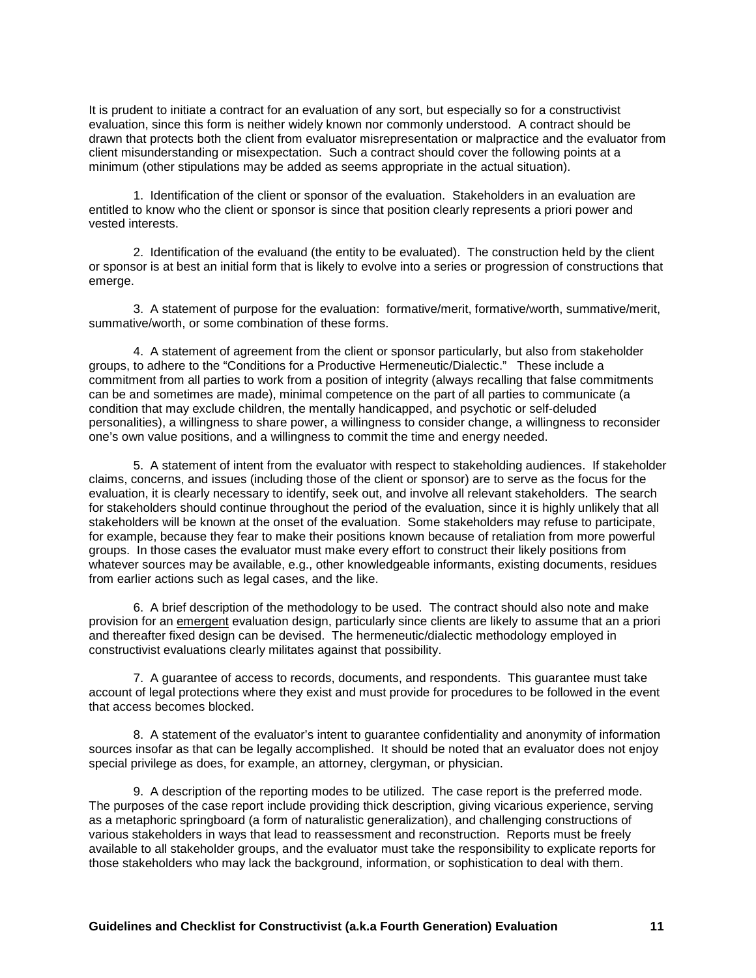It is prudent to initiate a contract for an evaluation of any sort, but especially so for a constructivist evaluation, since this form is neither widely known nor commonly understood. A contract should be drawn that protects both the client from evaluator misrepresentation or malpractice and the evaluator from client misunderstanding or misexpectation. Such a contract should cover the following points at a minimum (other stipulations may be added as seems appropriate in the actual situation).

 1. Identification of the client or sponsor of the evaluation. Stakeholders in an evaluation are entitled to know who the client or sponsor is since that position clearly represents a priori power and vested interests.

 2. Identification of the evaluand (the entity to be evaluated). The construction held by the client or sponsor is at best an initial form that is likely to evolve into a series or progression of constructions that emerge.

 3. A statement of purpose for the evaluation: formative/merit, formative/worth, summative/merit, summative/worth, or some combination of these forms.

 4. A statement of agreement from the client or sponsor particularly, but also from stakeholder groups, to adhere to the "Conditions for a Productive Hermeneutic/Dialectic." These include a commitment from all parties to work from a position of integrity (always recalling that false commitments can be and sometimes are made), minimal competence on the part of all parties to communicate (a condition that may exclude children, the mentally handicapped, and psychotic or self-deluded personalities), a willingness to share power, a willingness to consider change, a willingness to reconsider one's own value positions, and a willingness to commit the time and energy needed.

 5. A statement of intent from the evaluator with respect to stakeholding audiences. If stakeholder claims, concerns, and issues (including those of the client or sponsor) are to serve as the focus for the evaluation, it is clearly necessary to identify, seek out, and involve all relevant stakeholders. The search for stakeholders should continue throughout the period of the evaluation, since it is highly unlikely that all stakeholders will be known at the onset of the evaluation. Some stakeholders may refuse to participate, for example, because they fear to make their positions known because of retaliation from more powerful groups. In those cases the evaluator must make every effort to construct their likely positions from whatever sources may be available, e.g., other knowledgeable informants, existing documents, residues from earlier actions such as legal cases, and the like.

 6. A brief description of the methodology to be used. The contract should also note and make provision for an emergent evaluation design, particularly since clients are likely to assume that an a priori and thereafter fixed design can be devised. The hermeneutic/dialectic methodology employed in constructivist evaluations clearly militates against that possibility.

 7. A guarantee of access to records, documents, and respondents. This guarantee must take account of legal protections where they exist and must provide for procedures to be followed in the event that access becomes blocked.

 8. A statement of the evaluator's intent to guarantee confidentiality and anonymity of information sources insofar as that can be legally accomplished. It should be noted that an evaluator does not enjoy special privilege as does, for example, an attorney, clergyman, or physician.

 9. A description of the reporting modes to be utilized. The case report is the preferred mode. The purposes of the case report include providing thick description, giving vicarious experience, serving as a metaphoric springboard (a form of naturalistic generalization), and challenging constructions of various stakeholders in ways that lead to reassessment and reconstruction. Reports must be freely available to all stakeholder groups, and the evaluator must take the responsibility to explicate reports for those stakeholders who may lack the background, information, or sophistication to deal with them.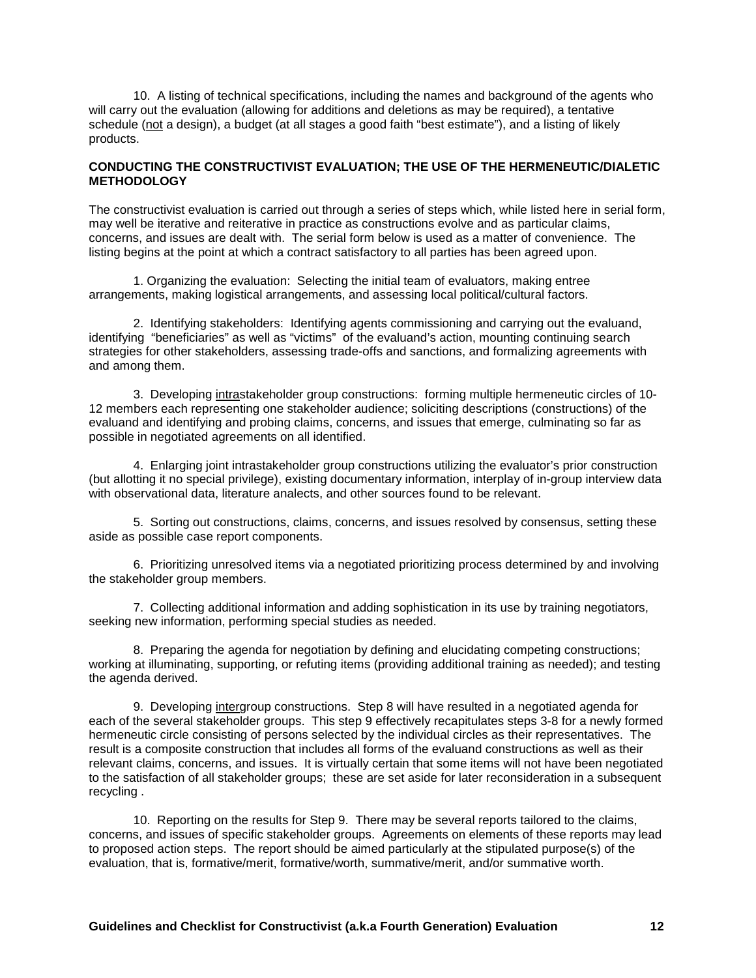10. A listing of technical specifications, including the names and background of the agents who will carry out the evaluation (allowing for additions and deletions as may be required), a tentative schedule (not a design), a budget (at all stages a good faith "best estimate"), and a listing of likely products.

#### **CONDUCTING THE CONSTRUCTIVIST EVALUATION; THE USE OF THE HERMENEUTIC/DIALETIC METHODOLOGY**

The constructivist evaluation is carried out through a series of steps which, while listed here in serial form, may well be iterative and reiterative in practice as constructions evolve and as particular claims, concerns, and issues are dealt with. The serial form below is used as a matter of convenience. The listing begins at the point at which a contract satisfactory to all parties has been agreed upon.

 1. Organizing the evaluation: Selecting the initial team of evaluators, making entree arrangements, making logistical arrangements, and assessing local political/cultural factors.

 2. Identifying stakeholders: Identifying agents commissioning and carrying out the evaluand, identifying "beneficiaries" as well as "victims" of the evaluand's action, mounting continuing search strategies for other stakeholders, assessing trade-offs and sanctions, and formalizing agreements with and among them.

 3. Developing intrastakeholder group constructions: forming multiple hermeneutic circles of 10- 12 members each representing one stakeholder audience; soliciting descriptions (constructions) of the evaluand and identifying and probing claims, concerns, and issues that emerge, culminating so far as possible in negotiated agreements on all identified.

 4. Enlarging joint intrastakeholder group constructions utilizing the evaluator's prior construction (but allotting it no special privilege), existing documentary information, interplay of in-group interview data with observational data, literature analects, and other sources found to be relevant.

 5. Sorting out constructions, claims, concerns, and issues resolved by consensus, setting these aside as possible case report components.

 6. Prioritizing unresolved items via a negotiated prioritizing process determined by and involving the stakeholder group members.

 7. Collecting additional information and adding sophistication in its use by training negotiators, seeking new information, performing special studies as needed.

 8. Preparing the agenda for negotiation by defining and elucidating competing constructions; working at illuminating, supporting, or refuting items (providing additional training as needed); and testing the agenda derived.

 9. Developing intergroup constructions. Step 8 will have resulted in a negotiated agenda for each of the several stakeholder groups. This step 9 effectively recapitulates steps 3-8 for a newly formed hermeneutic circle consisting of persons selected by the individual circles as their representatives. The result is a composite construction that includes all forms of the evaluand constructions as well as their relevant claims, concerns, and issues. It is virtually certain that some items will not have been negotiated to the satisfaction of all stakeholder groups; these are set aside for later reconsideration in a subsequent recycling .

 10. Reporting on the results for Step 9. There may be several reports tailored to the claims, concerns, and issues of specific stakeholder groups. Agreements on elements of these reports may lead to proposed action steps. The report should be aimed particularly at the stipulated purpose(s) of the evaluation, that is, formative/merit, formative/worth, summative/merit, and/or summative worth.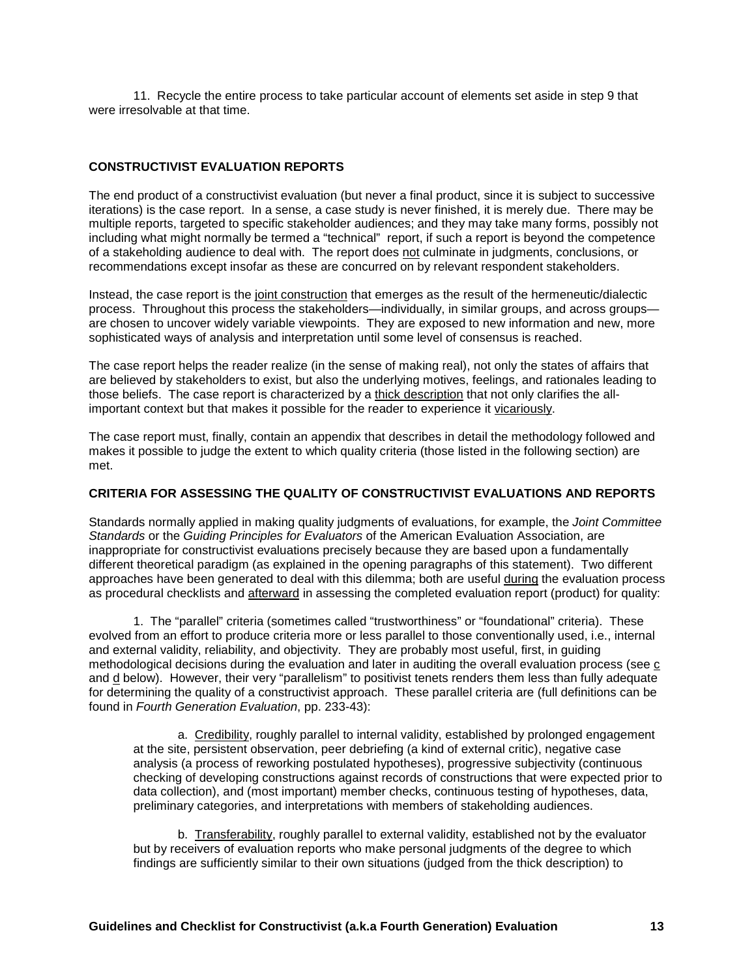11. Recycle the entire process to take particular account of elements set aside in step 9 that were irresolvable at that time.

#### **CONSTRUCTIVIST EVALUATION REPORTS**

The end product of a constructivist evaluation (but never a final product, since it is subject to successive iterations) is the case report. In a sense, a case study is never finished, it is merely due. There may be multiple reports, targeted to specific stakeholder audiences; and they may take many forms, possibly not including what might normally be termed a "technical" report, if such a report is beyond the competence of a stakeholding audience to deal with. The report does not culminate in judgments, conclusions, or recommendations except insofar as these are concurred on by relevant respondent stakeholders.

Instead, the case report is the joint construction that emerges as the result of the hermeneutic/dialectic process. Throughout this process the stakeholders—individually, in similar groups, and across groups are chosen to uncover widely variable viewpoints. They are exposed to new information and new, more sophisticated ways of analysis and interpretation until some level of consensus is reached.

The case report helps the reader realize (in the sense of making real), not only the states of affairs that are believed by stakeholders to exist, but also the underlying motives, feelings, and rationales leading to those beliefs. The case report is characterized by a thick description that not only clarifies the allimportant context but that makes it possible for the reader to experience it vicariously.

The case report must, finally, contain an appendix that describes in detail the methodology followed and makes it possible to judge the extent to which quality criteria (those listed in the following section) are met.

#### **CRITERIA FOR ASSESSING THE QUALITY OF CONSTRUCTIVIST EVALUATIONS AND REPORTS**

Standards normally applied in making quality judgments of evaluations, for example, the *Joint Committee Standards* or the *Guiding Principles for Evaluators* of the American Evaluation Association, are inappropriate for constructivist evaluations precisely because they are based upon a fundamentally different theoretical paradigm (as explained in the opening paragraphs of this statement). Two different approaches have been generated to deal with this dilemma; both are useful during the evaluation process as procedural checklists and afterward in assessing the completed evaluation report (product) for quality:

 1. The "parallel" criteria (sometimes called "trustworthiness" or "foundational" criteria). These evolved from an effort to produce criteria more or less parallel to those conventionally used, i.e., internal and external validity, reliability, and objectivity. They are probably most useful, first, in guiding methodological decisions during the evaluation and later in auditing the overall evaluation process (see c and d below). However, their very "parallelism" to positivist tenets renders them less than fully adequate for determining the quality of a constructivist approach. These parallel criteria are (full definitions can be found in *Fourth Generation Evaluation*, pp. 233-43):

 a. Credibility, roughly parallel to internal validity, established by prolonged engagement at the site, persistent observation, peer debriefing (a kind of external critic), negative case analysis (a process of reworking postulated hypotheses), progressive subjectivity (continuous checking of developing constructions against records of constructions that were expected prior to data collection), and (most important) member checks, continuous testing of hypotheses, data, preliminary categories, and interpretations with members of stakeholding audiences.

 b. Transferability, roughly parallel to external validity, established not by the evaluator but by receivers of evaluation reports who make personal judgments of the degree to which findings are sufficiently similar to their own situations (judged from the thick description) to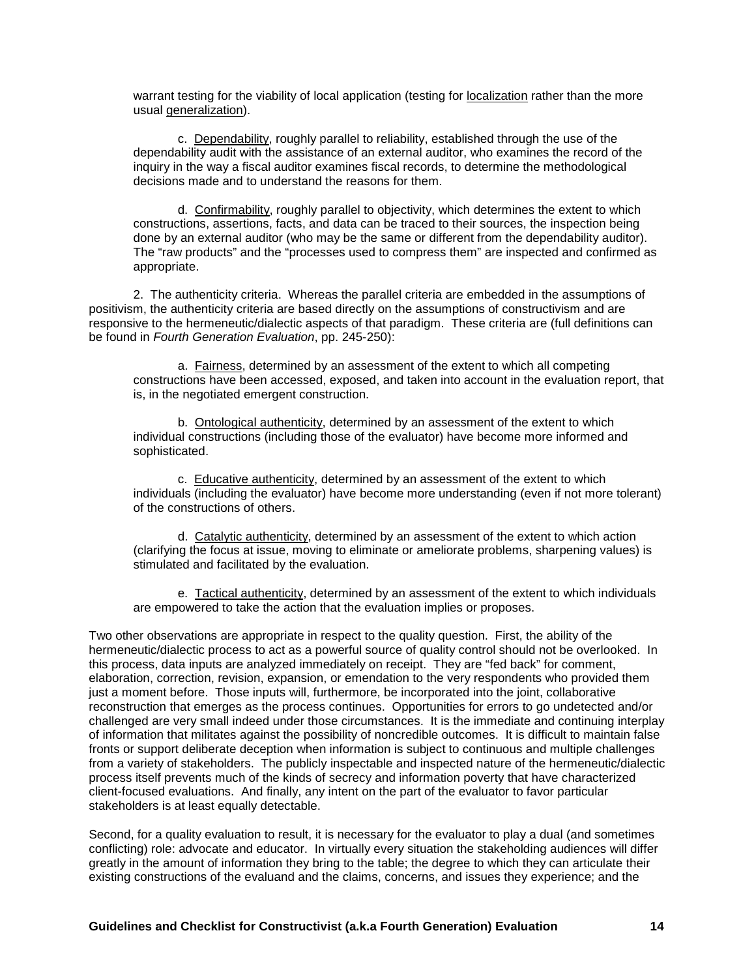warrant testing for the viability of local application (testing for localization rather than the more usual generalization).

 c. Dependability, roughly parallel to reliability, established through the use of the dependability audit with the assistance of an external auditor, who examines the record of the inquiry in the way a fiscal auditor examines fiscal records, to determine the methodological decisions made and to understand the reasons for them.

 d. Confirmability, roughly parallel to objectivity, which determines the extent to which constructions, assertions, facts, and data can be traced to their sources, the inspection being done by an external auditor (who may be the same or different from the dependability auditor). The "raw products" and the "processes used to compress them" are inspected and confirmed as appropriate.

 2. The authenticity criteria. Whereas the parallel criteria are embedded in the assumptions of positivism, the authenticity criteria are based directly on the assumptions of constructivism and are responsive to the hermeneutic/dialectic aspects of that paradigm. These criteria are (full definitions can be found in *Fourth Generation Evaluation*, pp. 245-250):

 a. Fairness, determined by an assessment of the extent to which all competing constructions have been accessed, exposed, and taken into account in the evaluation report, that is, in the negotiated emergent construction.

 b. Ontological authenticity, determined by an assessment of the extent to which individual constructions (including those of the evaluator) have become more informed and sophisticated.

 c. Educative authenticity, determined by an assessment of the extent to which individuals (including the evaluator) have become more understanding (even if not more tolerant) of the constructions of others.

 d. Catalytic authenticity, determined by an assessment of the extent to which action (clarifying the focus at issue, moving to eliminate or ameliorate problems, sharpening values) is stimulated and facilitated by the evaluation.

 e. Tactical authenticity, determined by an assessment of the extent to which individuals are empowered to take the action that the evaluation implies or proposes.

Two other observations are appropriate in respect to the quality question. First, the ability of the hermeneutic/dialectic process to act as a powerful source of quality control should not be overlooked. In this process, data inputs are analyzed immediately on receipt. They are "fed back" for comment, elaboration, correction, revision, expansion, or emendation to the very respondents who provided them just a moment before. Those inputs will, furthermore, be incorporated into the joint, collaborative reconstruction that emerges as the process continues. Opportunities for errors to go undetected and/or challenged are very small indeed under those circumstances. It is the immediate and continuing interplay of information that militates against the possibility of noncredible outcomes. It is difficult to maintain false fronts or support deliberate deception when information is subject to continuous and multiple challenges from a variety of stakeholders. The publicly inspectable and inspected nature of the hermeneutic/dialectic process itself prevents much of the kinds of secrecy and information poverty that have characterized client-focused evaluations. And finally, any intent on the part of the evaluator to favor particular stakeholders is at least equally detectable.

Second, for a quality evaluation to result, it is necessary for the evaluator to play a dual (and sometimes conflicting) role: advocate and educator. In virtually every situation the stakeholding audiences will differ greatly in the amount of information they bring to the table; the degree to which they can articulate their existing constructions of the evaluand and the claims, concerns, and issues they experience; and the